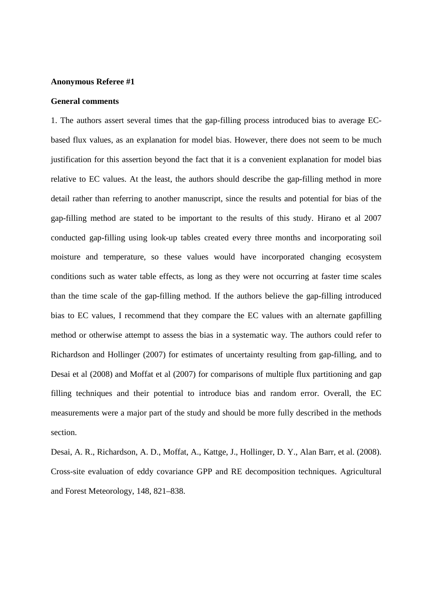#### **Anonymous Referee #1**

# **General comments**

1. The authors assert several times that the gap-filling process introduced bias to average ECbased flux values, as an explanation for model bias. However, there does not seem to be much justification for this assertion beyond the fact that it is a convenient explanation for model bias relative to EC values. At the least, the authors should describe the gap-filling method in more detail rather than referring to another manuscript, since the results and potential for bias of the gap-filling method are stated to be important to the results of this study. Hirano et al 2007 conducted gap-filling using look-up tables created every three months and incorporating soil moisture and temperature, so these values would have incorporated changing ecosystem conditions such as water table effects, as long as they were not occurring at faster time scales than the time scale of the gap-filling method. If the authors believe the gap-filling introduced bias to EC values, I recommend that they compare the EC values with an alternate gapfilling method or otherwise attempt to assess the bias in a systematic way. The authors could refer to Richardson and Hollinger (2007) for estimates of uncertainty resulting from gap-filling, and to Desai et al (2008) and Moffat et al (2007) for comparisons of multiple flux partitioning and gap filling techniques and their potential to introduce bias and random error. Overall, the EC measurements were a major part of the study and should be more fully described in the methods section.

Desai, A. R., Richardson, A. D., Moffat, A., Kattge, J., Hollinger, D. Y., Alan Barr, et al. (2008). Cross-site evaluation of eddy covariance GPP and RE decomposition techniques. Agricultural and Forest Meteorology, 148, 821–838.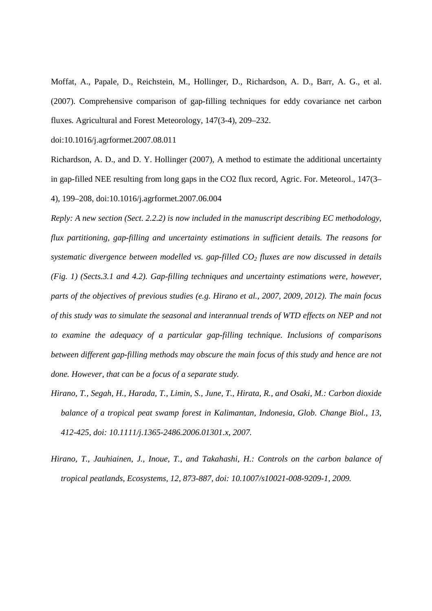Moffat, A., Papale, D., Reichstein, M., Hollinger, D., Richardson, A. D., Barr, A. G., et al. (2007). Comprehensive comparison of gap-filling techniques for eddy covariance net carbon fluxes. Agricultural and Forest Meteorology, 147(3-4), 209–232.

doi:10.1016/j.agrformet.2007.08.011

Richardson, A. D., and D. Y. Hollinger (2007), A method to estimate the additional uncertainty in gap-filled NEE resulting from long gaps in the CO2 flux record, Agric. For. Meteorol., 147(3– 4), 199–208, doi:10.1016/j.agrformet.2007.06.004

*Reply: A new section (Sect. 2.2.2) is now included in the manuscript describing EC methodology, flux partitioning, gap-filling and uncertainty estimations in sufficient details. The reasons for systematic divergence between modelled vs. gap-filled CO2 fluxes are now discussed in details (Fig. 1) (Sects.3.1 and 4.2). Gap-filling techniques and uncertainty estimations were, however, parts of the objectives of previous studies (e.g. Hirano et al., 2007, 2009, 2012). The main focus of this study was to simulate the seasonal and interannual trends of WTD effects on NEP and not to examine the adequacy of a particular gap-filling technique. Inclusions of comparisons between different gap-filling methods may obscure the main focus of this study and hence are not done. However, that can be a focus of a separate study.* 

- *Hirano, T., Segah, H., Harada, T., Limin, S., June, T., Hirata, R., and Osaki, M.: Carbon dioxide balance of a tropical peat swamp forest in Kalimantan, Indonesia, Glob. Change Biol., 13, 412-425, doi: 10.1111/j.1365-2486.2006.01301.x, 2007.*
- *Hirano, T., Jauhiainen, J., Inoue, T., and Takahashi, H.: Controls on the carbon balance of tropical peatlands, Ecosystems, 12, 873-887, doi: 10.1007/s10021-008-9209-1, 2009.*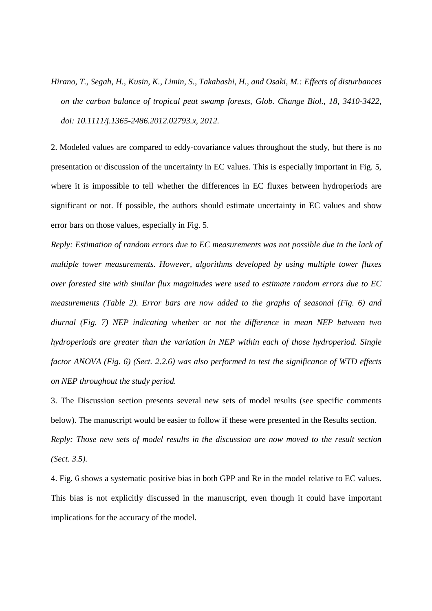*Hirano, T., Segah, H., Kusin, K., Limin, S., Takahashi, H., and Osaki, M.: Effects of disturbances on the carbon balance of tropical peat swamp forests, Glob. Change Biol., 18, 3410-3422, doi: 10.1111/j.1365-2486.2012.02793.x, 2012.* 

2. Modeled values are compared to eddy-covariance values throughout the study, but there is no presentation or discussion of the uncertainty in EC values. This is especially important in Fig. 5, where it is impossible to tell whether the differences in EC fluxes between hydroperiods are significant or not. If possible, the authors should estimate uncertainty in EC values and show error bars on those values, especially in Fig. 5.

*Reply: Estimation of random errors due to EC measurements was not possible due to the lack of multiple tower measurements. However, algorithms developed by using multiple tower fluxes over forested site with similar flux magnitudes were used to estimate random errors due to EC measurements (Table 2). Error bars are now added to the graphs of seasonal (Fig. 6) and diurnal (Fig. 7) NEP indicating whether or not the difference in mean NEP between two hydroperiods are greater than the variation in NEP within each of those hydroperiod. Single factor ANOVA (Fig. 6) (Sect. 2.2.6) was also performed to test the significance of WTD effects on NEP throughout the study period.* 

3. The Discussion section presents several new sets of model results (see specific comments below). The manuscript would be easier to follow if these were presented in the Results section. *Reply: Those new sets of model results in the discussion are now moved to the result section (Sect. 3.5).*

4. Fig. 6 shows a systematic positive bias in both GPP and Re in the model relative to EC values. This bias is not explicitly discussed in the manuscript, even though it could have important implications for the accuracy of the model.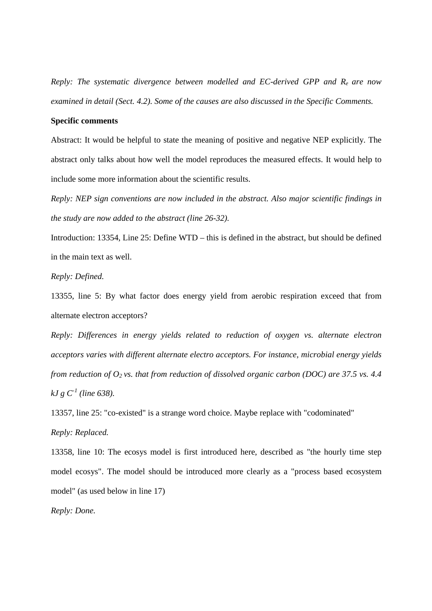*Reply: The systematic divergence between modelled and EC-derived GPP and Re are now examined in detail (Sect. 4.2). Some of the causes are also discussed in the Specific Comments.* 

# **Specific comments**

Abstract: It would be helpful to state the meaning of positive and negative NEP explicitly. The abstract only talks about how well the model reproduces the measured effects. It would help to include some more information about the scientific results.

*Reply: NEP sign conventions are now included in the abstract. Also major scientific findings in the study are now added to the abstract (line 26-32).* 

Introduction: 13354, Line 25: Define WTD – this is defined in the abstract, but should be defined in the main text as well.

### *Reply: Defined.*

13355, line 5: By what factor does energy yield from aerobic respiration exceed that from alternate electron acceptors?

*Reply: Differences in energy yields related to reduction of oxygen vs. alternate electron acceptors varies with different alternate electro acceptors. For instance, microbial energy yields from reduction of O2 vs. that from reduction of dissolved organic carbon (DOC) are 37.5 vs. 4.4*   $kJ g C<sup>1</sup>$  (line 638).

13357, line 25: "co-existed" is a strange word choice. Maybe replace with "codominated" *Reply: Replaced.*

13358, line 10: The ecosys model is first introduced here, described as "the hourly time step model ecosys". The model should be introduced more clearly as a "process based ecosystem model" (as used below in line 17)

*Reply: Done.*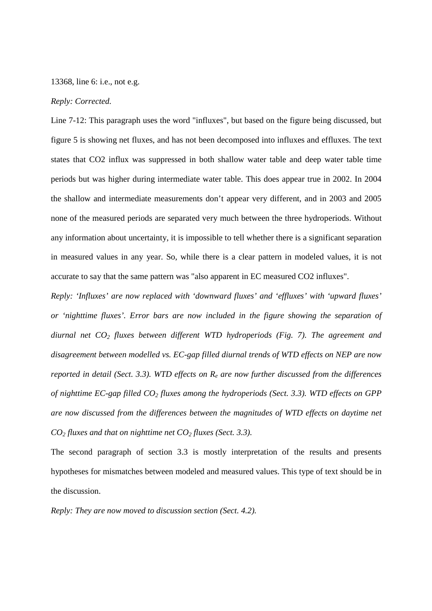### 13368, line 6: i.e., not e.g.

## *Reply: Corrected.*

Line 7-12: This paragraph uses the word "influxes", but based on the figure being discussed, but figure 5 is showing net fluxes, and has not been decomposed into influxes and effluxes. The text states that CO2 influx was suppressed in both shallow water table and deep water table time periods but was higher during intermediate water table. This does appear true in 2002. In 2004 the shallow and intermediate measurements don't appear very different, and in 2003 and 2005 none of the measured periods are separated very much between the three hydroperiods. Without any information about uncertainty, it is impossible to tell whether there is a significant separation in measured values in any year. So, while there is a clear pattern in modeled values, it is not accurate to say that the same pattern was "also apparent in EC measured CO2 influxes".

*Reply: 'Influxes' are now replaced with 'downward fluxes' and 'effluxes' with 'upward fluxes' or 'nighttime fluxes'. Error bars are now included in the figure showing the separation of diurnal net CO2 fluxes between different WTD hydroperiods (Fig. 7). The agreement and disagreement between modelled vs. EC-gap filled diurnal trends of WTD effects on NEP are now reported in detail (Sect. 3.3). WTD effects on Re are now further discussed from the differences of nighttime EC-gap filled CO2 fluxes among the hydroperiods (Sect. 3.3). WTD effects on GPP are now discussed from the differences between the magnitudes of WTD effects on daytime net CO2 fluxes and that on nighttime net CO2 fluxes (Sect. 3.3).* 

The second paragraph of section 3.3 is mostly interpretation of the results and presents hypotheses for mismatches between modeled and measured values. This type of text should be in the discussion.

*Reply: They are now moved to discussion section (Sect. 4.2).*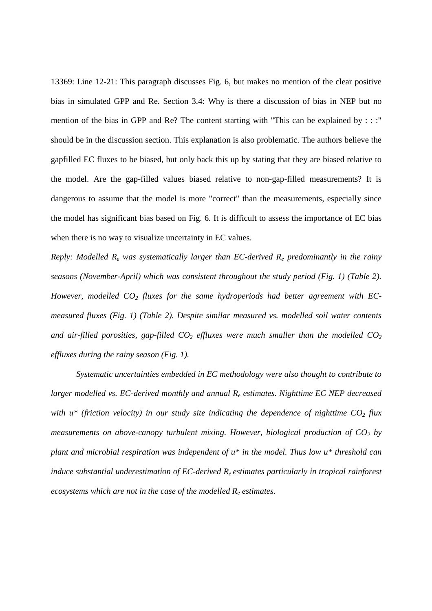13369: Line 12-21: This paragraph discusses Fig. 6, but makes no mention of the clear positive bias in simulated GPP and Re. Section 3.4: Why is there a discussion of bias in NEP but no mention of the bias in GPP and Re? The content starting with "This can be explained by : : :" should be in the discussion section. This explanation is also problematic. The authors believe the gapfilled EC fluxes to be biased, but only back this up by stating that they are biased relative to the model. Are the gap-filled values biased relative to non-gap-filled measurements? It is dangerous to assume that the model is more "correct" than the measurements, especially since the model has significant bias based on Fig. 6. It is difficult to assess the importance of EC bias when there is no way to visualize uncertainty in EC values.

*Reply: Modelled Re was systematically larger than EC-derived Re predominantly in the rainy seasons (November-April) which was consistent throughout the study period (Fig. 1) (Table 2). However, modelled CO2 fluxes for the same hydroperiods had better agreement with ECmeasured fluxes (Fig. 1) (Table 2). Despite similar measured vs. modelled soil water contents and air-filled porosities, gap-filled CO2 effluxes were much smaller than the modelled CO<sup>2</sup> effluxes during the rainy season (Fig. 1).* 

*Systematic uncertainties embedded in EC methodology were also thought to contribute to larger modelled vs. EC-derived monthly and annual Re estimates. Nighttime EC NEP decreased with u\* (friction velocity) in our study site indicating the dependence of nighttime*  $CO<sub>2</sub>$  *flux measurements on above-canopy turbulent mixing. However, biological production of CO2 by plant and microbial respiration was independent of u\* in the model. Thus low u\* threshold can induce substantial underestimation of EC-derived Re estimates particularly in tropical rainforest ecosystems which are not in the case of the modelled Re estimates.*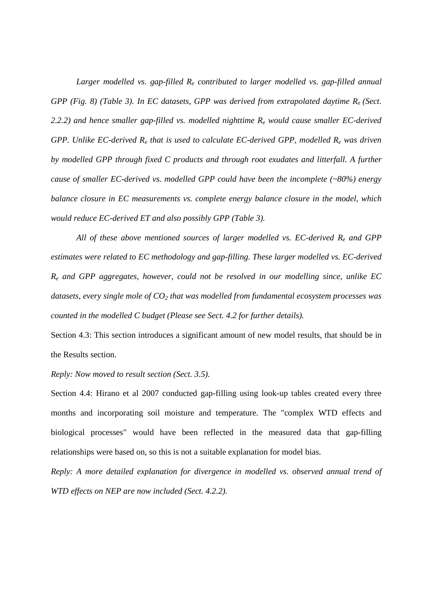*Larger modelled vs. gap-filled Re contributed to larger modelled vs. gap-filled annual GPP (Fig. 8) (Table 3). In EC datasets, GPP was derived from extrapolated daytime Re (Sect. 2.2.2) and hence smaller gap-filled vs. modelled nighttime Re would cause smaller EC-derived GPP. Unlike EC-derived Re that is used to calculate EC-derived GPP, modelled Re was driven by modelled GPP through fixed C products and through root exudates and litterfall. A further cause of smaller EC-derived vs. modelled GPP could have been the incomplete (~80%) energy balance closure in EC measurements vs. complete energy balance closure in the model, which would reduce EC-derived ET and also possibly GPP (Table 3).* 

*All of these above mentioned sources of larger modelled vs. EC-derived Re and GPP estimates were related to EC methodology and gap-filling. These larger modelled vs. EC-derived Re and GPP aggregates, however, could not be resolved in our modelling since, unlike EC datasets, every single mole of CO2 that was modelled from fundamental ecosystem processes was counted in the modelled C budget (Please see Sect. 4.2 for further details).* 

Section 4.3: This section introduces a significant amount of new model results, that should be in the Results section.

#### *Reply: Now moved to result section (Sect. 3.5).*

Section 4.4: Hirano et al 2007 conducted gap-filling using look-up tables created every three months and incorporating soil moisture and temperature. The "complex WTD effects and biological processes" would have been reflected in the measured data that gap-filling relationships were based on, so this is not a suitable explanation for model bias.

*Reply: A more detailed explanation for divergence in modelled vs. observed annual trend of WTD effects on NEP are now included (Sect. 4.2.2).*